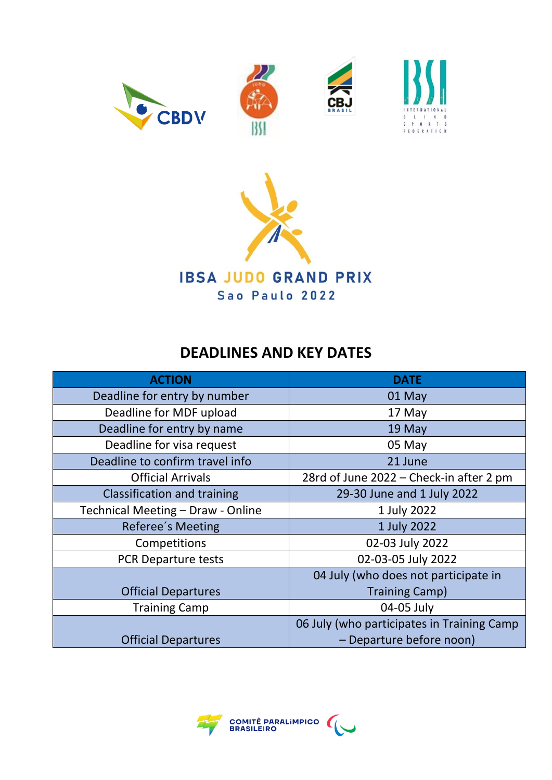









# **DEADLINES AND KEY DATES**

| <b>ACTION</b>                      | <b>DATE</b>                                |  |
|------------------------------------|--------------------------------------------|--|
| Deadline for entry by number       | 01 May                                     |  |
| Deadline for MDF upload            | 17 May                                     |  |
| Deadline for entry by name         | 19 May                                     |  |
| Deadline for visa request          | 05 May                                     |  |
| Deadline to confirm travel info    | 21 June                                    |  |
| <b>Official Arrivals</b>           | 28rd of June 2022 - Check-in after 2 pm    |  |
| <b>Classification and training</b> | 29-30 June and 1 July 2022                 |  |
| Technical Meeting - Draw - Online  | 1 July 2022                                |  |
| Referee's Meeting                  | 1 July 2022                                |  |
| Competitions                       | 02-03 July 2022                            |  |
| PCR Departure tests                | 02-03-05 July 2022                         |  |
|                                    | 04 July (who does not participate in       |  |
| <b>Official Departures</b>         | <b>Training Camp)</b>                      |  |
| <b>Training Camp</b>               | 04-05 July                                 |  |
|                                    | 06 July (who participates in Training Camp |  |
| <b>Official Departures</b>         | - Departure before noon)                   |  |

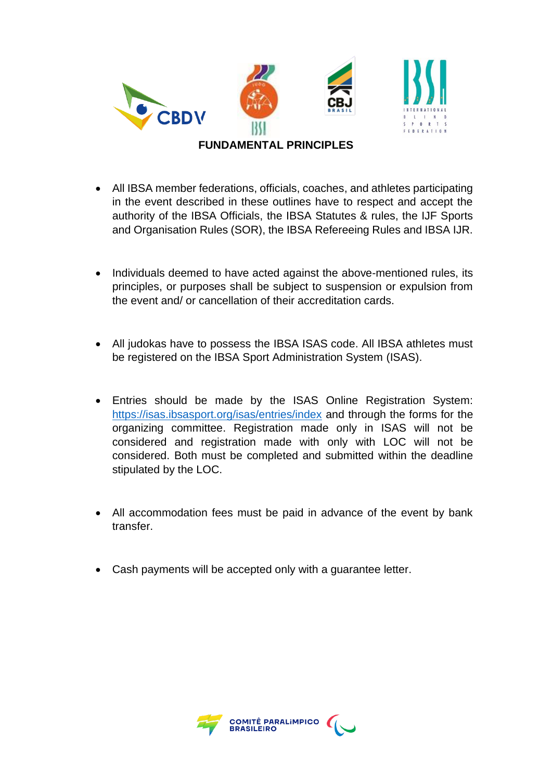

- All IBSA member federations, officials, coaches, and athletes participating in the event described in these outlines have to respect and accept the authority of the IBSA Officials, the IBSA Statutes & rules, the IJF Sports and Organisation Rules (SOR), the IBSA Refereeing Rules and IBSA IJR.
- Individuals deemed to have acted against the above-mentioned rules, its principles, or purposes shall be subject to suspension or expulsion from the event and/ or cancellation of their accreditation cards.
- All judokas have to possess the IBSA ISAS code. All IBSA athletes must be registered on the IBSA Sport Administration System (ISAS).
- Entries should be made by the ISAS Online Registration System: <https://isas.ibsasport.org/isas/entries/index> and through the forms for the organizing committee. Registration made only in ISAS will not be considered and registration made with only with LOC will not be considered. Both must be completed and submitted within the deadline stipulated by the LOC.
- All accommodation fees must be paid in advance of the event by bank transfer.
- Cash payments will be accepted only with a guarantee letter.

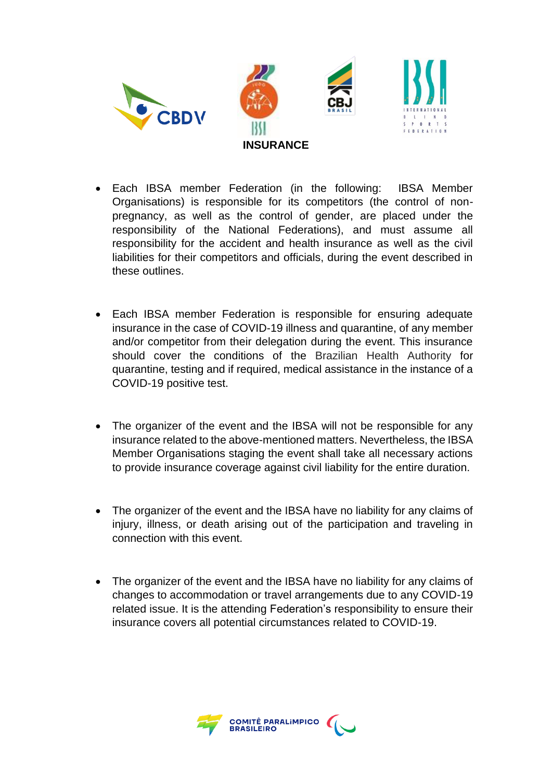

- Each IBSA member Federation (in the following: IBSA Member Organisations) is responsible for its competitors (the control of nonpregnancy, as well as the control of gender, are placed under the responsibility of the National Federations), and must assume all responsibility for the accident and health insurance as well as the civil liabilities for their competitors and officials, during the event described in these outlines.
- Each IBSA member Federation is responsible for ensuring adequate insurance in the case of COVID-19 illness and quarantine, of any member and/or competitor from their delegation during the event. This insurance should cover the conditions of the Brazilian Health Authority for quarantine, testing and if required, medical assistance in the instance of a COVID-19 positive test.
- The organizer of the event and the IBSA will not be responsible for any insurance related to the above-mentioned matters. Nevertheless, the IBSA Member Organisations staging the event shall take all necessary actions to provide insurance coverage against civil liability for the entire duration.
- The organizer of the event and the IBSA have no liability for any claims of injury, illness, or death arising out of the participation and traveling in connection with this event.
- The organizer of the event and the IBSA have no liability for any claims of changes to accommodation or travel arrangements due to any COVID-19 related issue. It is the attending Federation's responsibility to ensure their insurance covers all potential circumstances related to COVID-19.

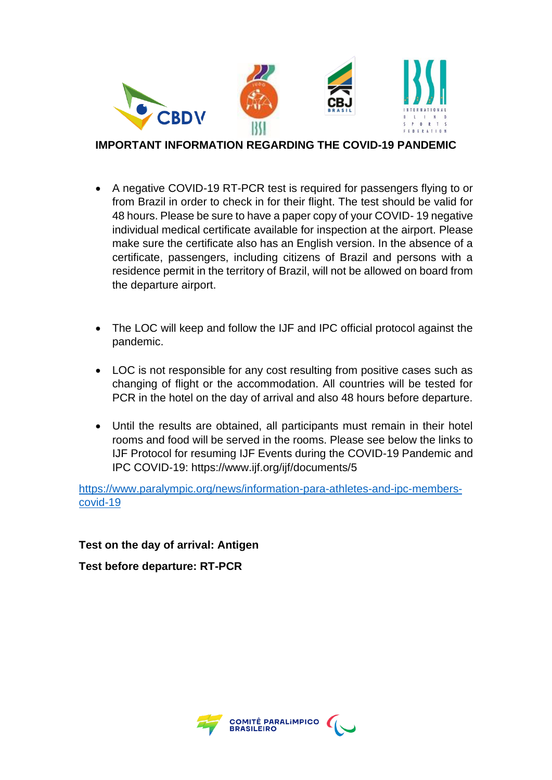

#### **IMPORTANT INFORMATION REGARDING THE COVID-19 PANDEMIC**

- A negative COVID-19 RT-PCR test is required for passengers flying to or from Brazil in order to check in for their flight. The test should be valid for 48 hours. Please be sure to have a paper copy of your COVID- 19 negative individual medical certificate available for inspection at the airport. Please make sure the certificate also has an English version. In the absence of a certificate, passengers, including citizens of Brazil and persons with a residence permit in the territory of Brazil, will not be allowed on board from the departure airport.
- The LOC will keep and follow the IJF and IPC official protocol against the pandemic.
- LOC is not responsible for any cost resulting from positive cases such as changing of flight or the accommodation. All countries will be tested for PCR in the hotel on the day of arrival and also 48 hours before departure.
- Until the results are obtained, all participants must remain in their hotel rooms and food will be served in the rooms. Please see below the links to IJF Protocol for resuming IJF Events during the COVID-19 Pandemic and IPC COVID-19: https://www.ijf.org/ijf/documents/5

[https://www.paralympic.org/news/information-para-athletes-and-ipc-members](https://www.paralympic.org/news/information-para-athletes-and-ipc-members-covid-19)[covid-19](https://www.paralympic.org/news/information-para-athletes-and-ipc-members-covid-19)

**Test on the day of arrival: Antigen**

**Test before departure: RT-PCR**

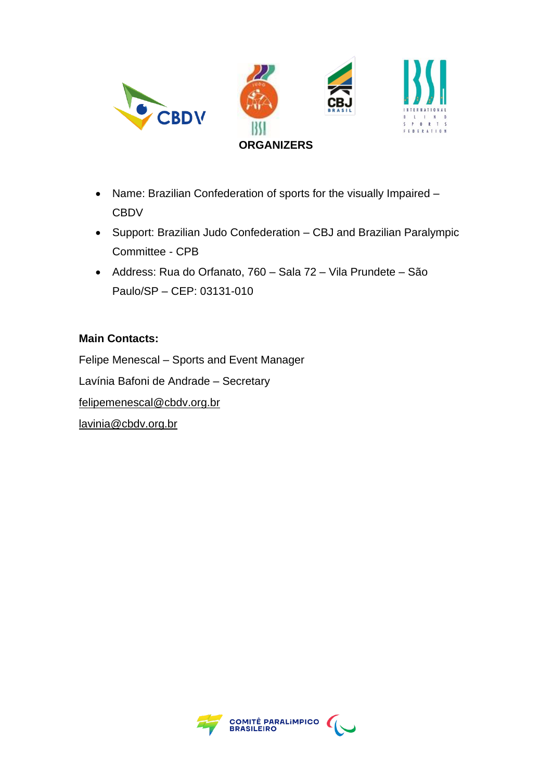

- Name: Brazilian Confederation of sports for the visually Impaired **CBDV**
- Support: Brazilian Judo Confederation CBJ and Brazilian Paralympic Committee - CPB
- Address: Rua do Orfanato, 760 Sala 72 Vila Prundete São Paulo/SP – CEP: 03131-010

#### **Main Contacts:**

Felipe Menescal – Sports and Event Manager Lavínia Bafoni de Andrade – Secretary [felipemenescal@cbdv.org.br](mailto:felipemenescal@cbdv.org.br) [lavinia@cbdv.org.br](mailto:lavinia@cbdv.org.br)

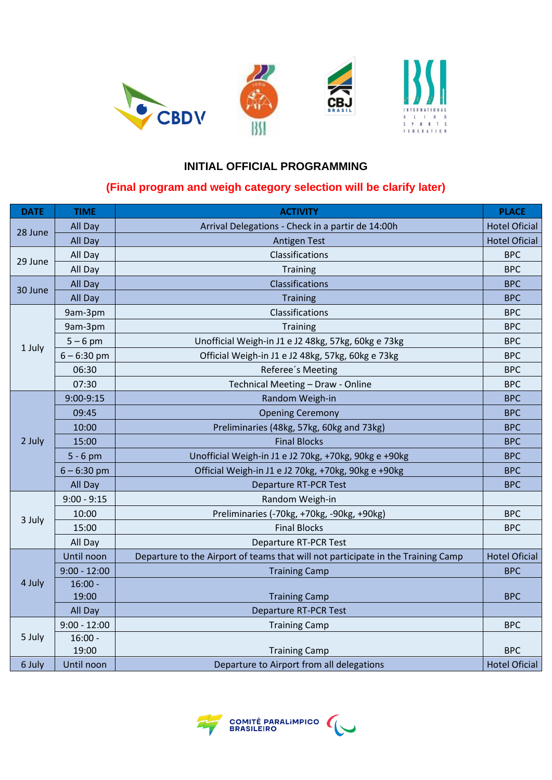

## **INITIAL OFFICIAL PROGRAMMING**

#### **(Final program and weigh category selection will be clarify later)**

| <b>DATE</b> | <b>TIME</b>    | <b>ACTIVITY</b>                                                                  | <b>PLACE</b>         |
|-------------|----------------|----------------------------------------------------------------------------------|----------------------|
| 28 June     | All Day        | Arrival Delegations - Check in a partir de 14:00h                                | <b>Hotel Oficial</b> |
|             | All Day        | <b>Antigen Test</b>                                                              | <b>Hotel Oficial</b> |
| 29 June     | All Day        | Classifications                                                                  | <b>BPC</b>           |
|             | All Day        | <b>Training</b>                                                                  | <b>BPC</b>           |
| 30 June     | All Day        | Classifications                                                                  | <b>BPC</b>           |
|             | All Day        | <b>Training</b>                                                                  | <b>BPC</b>           |
| 1 July      | 9am-3pm        | Classifications                                                                  | <b>BPC</b>           |
|             | 9am-3pm        | <b>Training</b>                                                                  | <b>BPC</b>           |
|             | $5 - 6$ pm     | Unofficial Weigh-in J1 e J2 48kg, 57kg, 60kg e 73kg                              | <b>BPC</b>           |
|             | $6 - 6:30$ pm  | Official Weigh-in J1 e J2 48kg, 57kg, 60kg e 73kg                                | <b>BPC</b>           |
|             | 06:30          | Referee's Meeting                                                                | <b>BPC</b>           |
|             | 07:30          | Technical Meeting - Draw - Online                                                | <b>BPC</b>           |
| 2 July      | 9:00-9:15      | Random Weigh-in                                                                  | <b>BPC</b>           |
|             | 09:45          | <b>Opening Ceremony</b>                                                          | <b>BPC</b>           |
|             | 10:00          | Preliminaries (48kg, 57kg, 60kg and 73kg)                                        | <b>BPC</b>           |
|             | 15:00          | <b>Final Blocks</b>                                                              | <b>BPC</b>           |
|             | $5 - 6$ pm     | Unofficial Weigh-in J1 e J2 70kg, +70kg, 90kg e +90kg                            | <b>BPC</b>           |
|             | $6 - 6:30$ pm  | Official Weigh-in J1 e J2 70kg, +70kg, 90kg e +90kg                              | <b>BPC</b>           |
|             | All Day        | <b>Departure RT-PCR Test</b>                                                     | <b>BPC</b>           |
| 3 July      | $9:00 - 9:15$  | Random Weigh-in                                                                  |                      |
|             | 10:00          | Preliminaries (-70kg, +70kg, -90kg, +90kg)                                       | <b>BPC</b>           |
|             | 15:00          | <b>Final Blocks</b>                                                              | <b>BPC</b>           |
|             | All Day        | <b>Departure RT-PCR Test</b>                                                     |                      |
| 4 July      | Until noon     | Departure to the Airport of teams that will not participate in the Training Camp | <b>Hotel Oficial</b> |
|             | $9:00 - 12:00$ | <b>Training Camp</b>                                                             | <b>BPC</b>           |
|             | $16:00 -$      |                                                                                  |                      |
|             | 19:00          | <b>Training Camp</b>                                                             | <b>BPC</b>           |
|             | All Day        | <b>Departure RT-PCR Test</b>                                                     |                      |
| 5 July      | $9:00 - 12:00$ | <b>Training Camp</b>                                                             | <b>BPC</b>           |
|             | $16:00 -$      |                                                                                  |                      |
|             | 19:00          | <b>Training Camp</b>                                                             | <b>BPC</b>           |
| 6 July      | Until noon     | Departure to Airport from all delegations                                        | <b>Hotel Oficial</b> |

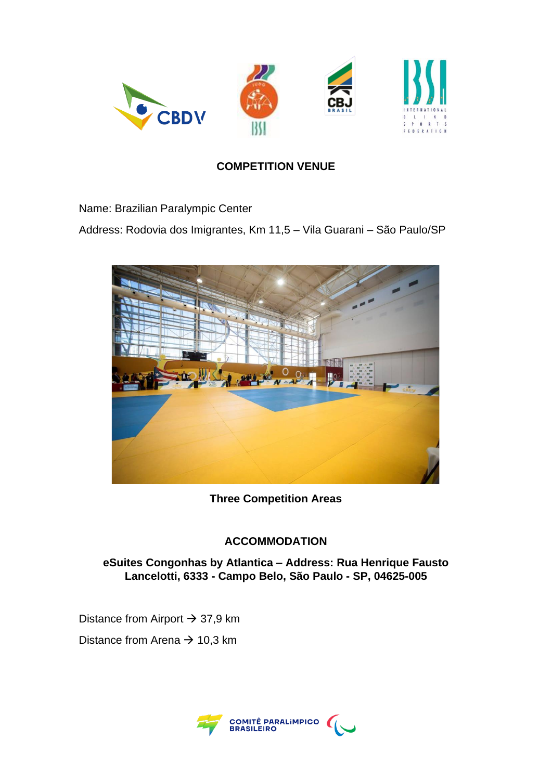

## **COMPETITION VENUE**

Name: Brazilian Paralympic Center

Address: Rodovia dos Imigrantes, Km 11,5 – Vila Guarani – São Paulo/SP



**Three Competition Areas** 

## **ACCOMMODATION**

**eSuites Congonhas by Atlantica – Address: Rua Henrique Fausto Lancelotti, 6333 - Campo Belo, São Paulo - SP, 04625-005**

Distance from Airport  $\rightarrow$  37,9 km Distance from Arena  $\rightarrow$  10,3 km

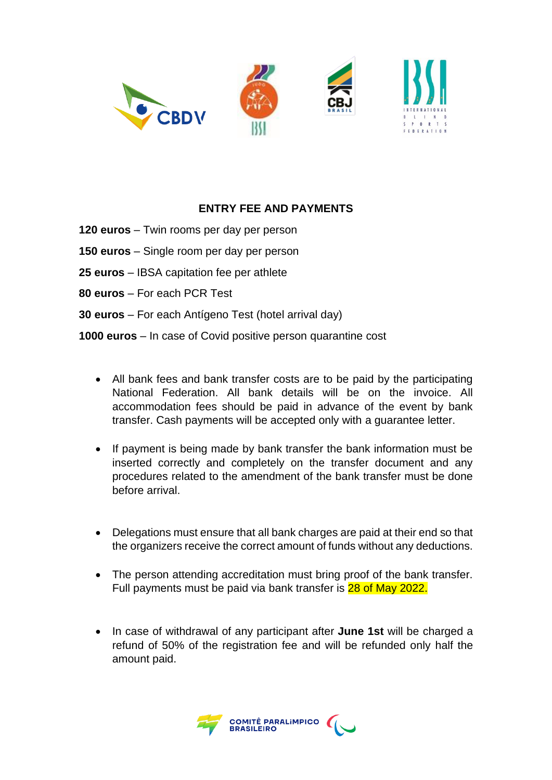

#### **ENTRY FEE AND PAYMENTS**

- **120 euros** Twin rooms per day per person
- **150 euros** Single room per day per person
- **25 euros** IBSA capitation fee per athlete
- **80 euros** For each PCR Test
- **30 euros** For each Antígeno Test (hotel arrival day)

**1000 euros** – In case of Covid positive person quarantine cost

- All bank fees and bank transfer costs are to be paid by the participating National Federation. All bank details will be on the invoice. All accommodation fees should be paid in advance of the event by bank transfer. Cash payments will be accepted only with a guarantee letter.
- If payment is being made by bank transfer the bank information must be inserted correctly and completely on the transfer document and any procedures related to the amendment of the bank transfer must be done before arrival.
- Delegations must ensure that all bank charges are paid at their end so that the organizers receive the correct amount of funds without any deductions.
- The person attending accreditation must bring proof of the bank transfer. Full payments must be paid via bank transfer is 28 of May 2022.
- In case of withdrawal of any participant after **June 1st** will be charged a refund of 50% of the registration fee and will be refunded only half the amount paid.

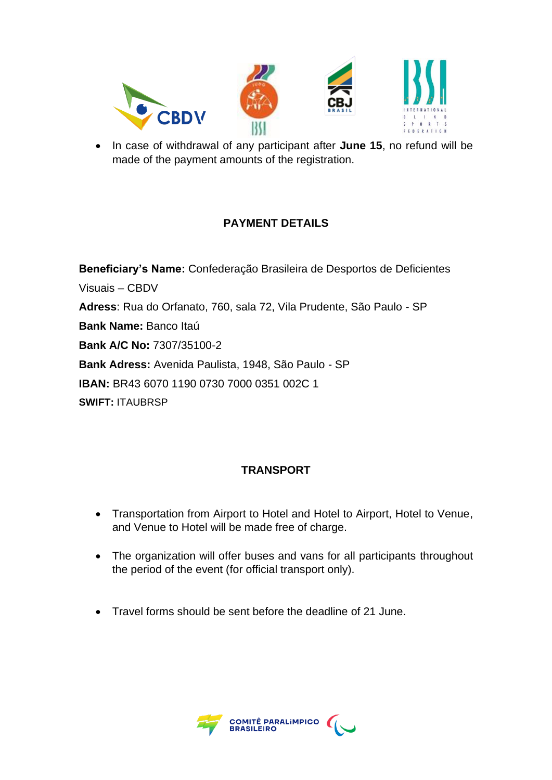

• In case of withdrawal of any participant after **June 15**, no refund will be made of the payment amounts of the registration.

# **PAYMENT DETAILS**

**Beneficiary's Name:** Confederação Brasileira de Desportos de Deficientes Visuais – CBDV **Adress**: Rua do Orfanato, 760, sala 72, Vila Prudente, São Paulo - SP **Bank Name:** Banco Itaú **Bank A/C No:** 7307/35100-2 **Bank Adress:** Avenida Paulista, 1948, São Paulo - SP **IBAN:** BR43 6070 1190 0730 7000 0351 002C 1 **SWIFT:** ITAUBRSP

## **TRANSPORT**

- Transportation from Airport to Hotel and Hotel to Airport, Hotel to Venue, and Venue to Hotel will be made free of charge.
- The organization will offer buses and vans for all participants throughout the period of the event (for official transport only).
- Travel forms should be sent before the deadline of 21 June.

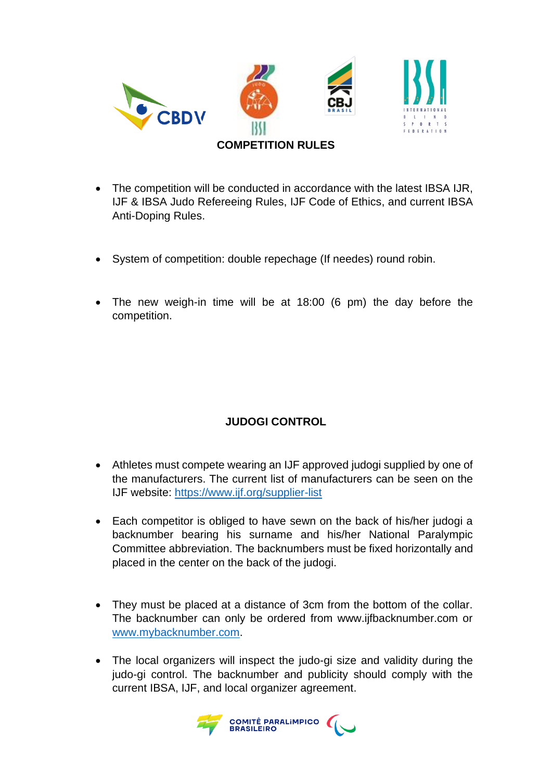

- The competition will be conducted in accordance with the latest IBSA IJR, IJF & IBSA Judo Refereeing Rules, IJF Code of Ethics, and current IBSA Anti-Doping Rules.
- System of competition: double repechage (If needes) round robin.
- The new weigh-in time will be at 18:00 (6 pm) the day before the competition.

# **JUDOGI CONTROL**

- Athletes must compete wearing an IJF approved judogi supplied by one of the manufacturers. The current list of manufacturers can be seen on the IJF website: <https://www.ijf.org/supplier-list>
- Each competitor is obliged to have sewn on the back of his/her judogi a backnumber bearing his surname and his/her National Paralympic Committee abbreviation. The backnumbers must be fixed horizontally and placed in the center on the back of the judogi.
- They must be placed at a distance of 3cm from the bottom of the collar. The backnumber can only be ordered from www.ijfbacknumber.com or [www.mybacknumber.com.](http://www.mybacknumber.com/)
- The local organizers will inspect the judo-gi size and validity during the judo-gi control. The backnumber and publicity should comply with the current IBSA, IJF, and local organizer agreement.

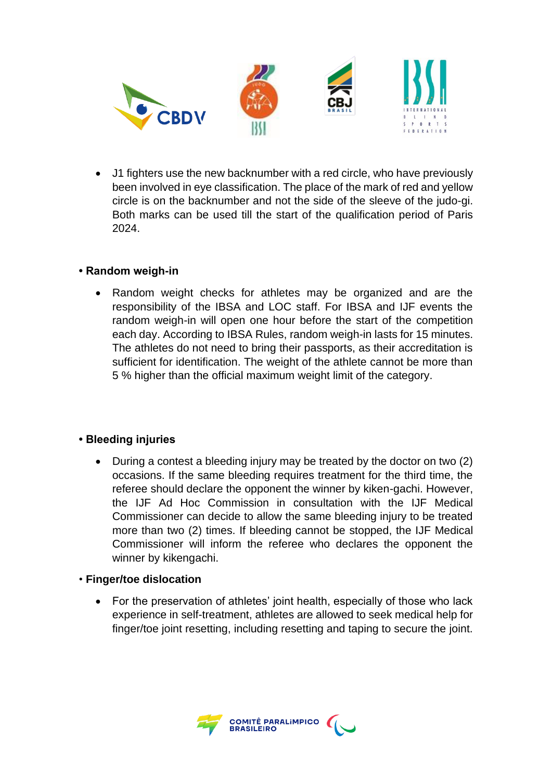

• J1 fighters use the new backnumber with a red circle, who have previously been involved in eye classification. The place of the mark of red and yellow circle is on the backnumber and not the side of the sleeve of the judo-gi. Both marks can be used till the start of the qualification period of Paris 2024.

#### **• Random weigh-in**

• Random weight checks for athletes may be organized and are the responsibility of the IBSA and LOC staff. For IBSA and IJF events the random weigh-in will open one hour before the start of the competition each day. According to IBSA Rules, random weigh-in lasts for 15 minutes. The athletes do not need to bring their passports, as their accreditation is sufficient for identification. The weight of the athlete cannot be more than 5 % higher than the official maximum weight limit of the category.

#### **• Bleeding injuries**

• During a contest a bleeding injury may be treated by the doctor on two (2) occasions. If the same bleeding requires treatment for the third time, the referee should declare the opponent the winner by kiken-gachi. However, the IJF Ad Hoc Commission in consultation with the IJF Medical Commissioner can decide to allow the same bleeding injury to be treated more than two (2) times. If bleeding cannot be stopped, the IJF Medical Commissioner will inform the referee who declares the opponent the winner by kikengachi.

#### • **Finger/toe dislocation**

• For the preservation of athletes' joint health, especially of those who lack experience in self-treatment, athletes are allowed to seek medical help for finger/toe joint resetting, including resetting and taping to secure the joint.

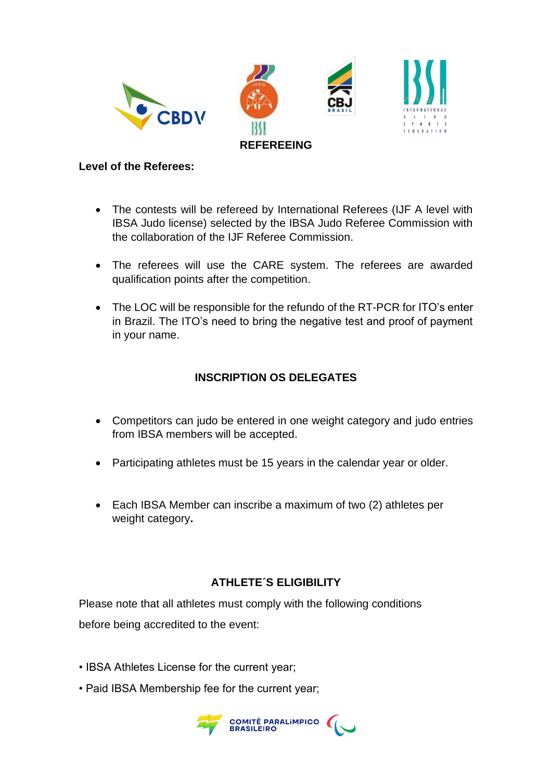

#### **Level of the Referees:**

- The contests will be refereed by International Referees (IJF A level with IBSA Judo license) selected by the IBSA Judo Referee Commission with the collaboration of the IJF Referee Commission.
- The referees will use the CARE system. The referees are awarded qualification points after the competition.
- The LOC will be responsible for the refundo of the RT-PCR for ITO's enter in Brazil. The ITO's need to bring the negative test and proof of payment in your name.

## **INSCRIPTION OS DELEGATES**

- Competitors can judo be entered in one weight category and judo entries from IBSA members will be accepted.
- Participating athletes must be 15 years in the calendar year or older.
- Each IBSA Member can inscribe a maximum of two (2) athletes per weight category**.**

## **ATHLETE´S ELIGIBILITY**

Please note that all athletes must comply with the following conditions before being accredited to the event:

- IBSA Athletes License for the current year;
- Paid IBSA Membership fee for the current year;

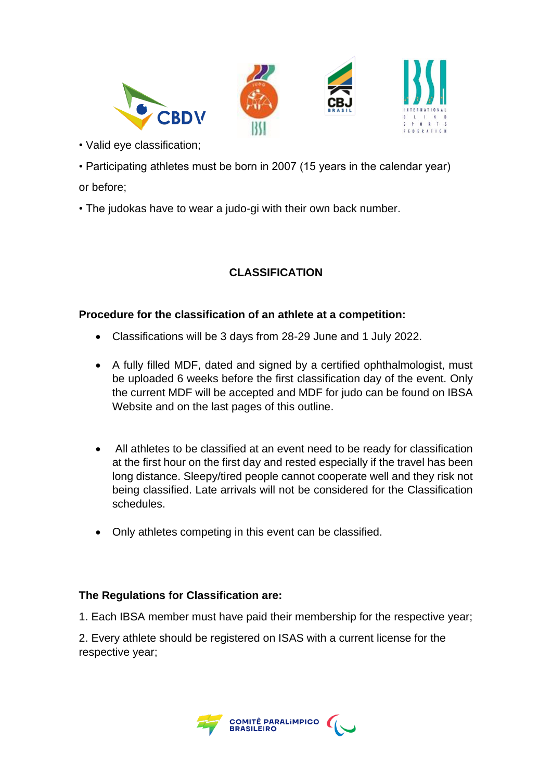

• Valid eye classification;

• Participating athletes must be born in 2007 (15 years in the calendar year) or before;

• The judokas have to wear a judo-gi with their own back number.

# **CLASSIFICATION**

#### **Procedure for the classification of an athlete at a competition:**

- Classifications will be 3 days from 28-29 June and 1 July 2022.
- A fully filled MDF, dated and signed by a certified ophthalmologist, must be uploaded 6 weeks before the first classification day of the event. Only the current MDF will be accepted and MDF for judo can be found on IBSA Website and on the last pages of this outline.
- All athletes to be classified at an event need to be ready for classification at the first hour on the first day and rested especially if the travel has been long distance. Sleepy/tired people cannot cooperate well and they risk not being classified. Late arrivals will not be considered for the Classification schedules.
- Only athletes competing in this event can be classified.

#### **The Regulations for Classification are:**

1. Each IBSA member must have paid their membership for the respective year;

2. Every athlete should be registered on ISAS with a current license for the respective year;

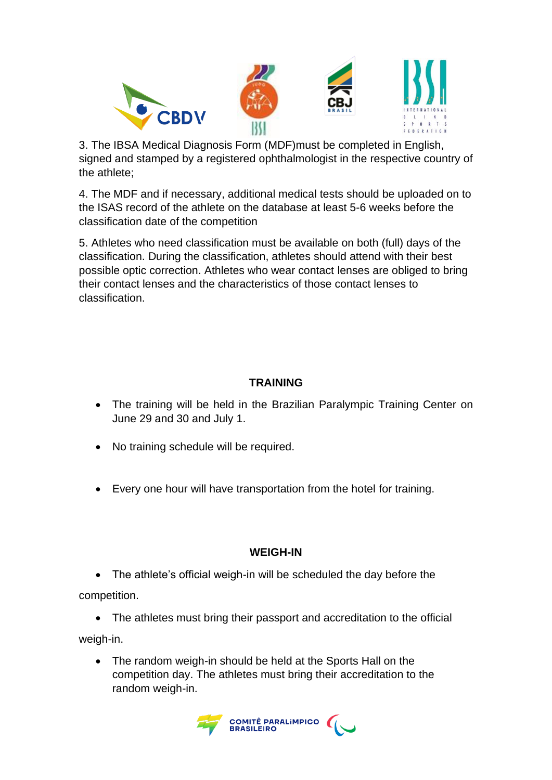

3. The IBSA Medical Diagnosis Form (MDF)must be completed in English, signed and stamped by a registered ophthalmologist in the respective country of the athlete;

4. The MDF and if necessary, additional medical tests should be uploaded on to the ISAS record of the athlete on the database at least 5-6 weeks before the classification date of the competition

5. Athletes who need classification must be available on both (full) days of the classification. During the classification, athletes should attend with their best possible optic correction. Athletes who wear contact lenses are obliged to bring their contact lenses and the characteristics of those contact lenses to classification.

## **TRAINING**

- The training will be held in the Brazilian Paralympic Training Center on June 29 and 30 and July 1.
- No training schedule will be required.
- Every one hour will have transportation from the hotel for training.

## **WEIGH-IN**

• The athlete's official weigh-in will be scheduled the day before the competition.

• The athletes must bring their passport and accreditation to the official weigh-in.

• The random weigh-in should be held at the Sports Hall on the competition day. The athletes must bring their accreditation to the random weigh-in.

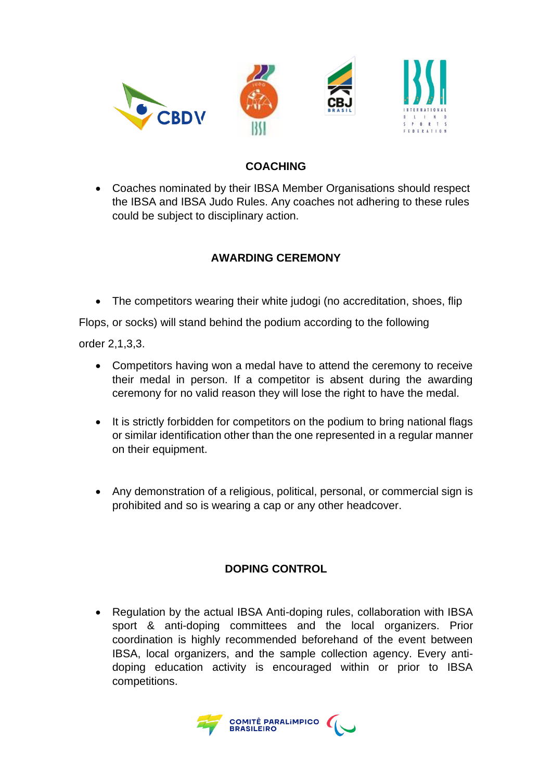

## **COACHING**

• Coaches nominated by their IBSA Member Organisations should respect the IBSA and IBSA Judo Rules. Any coaches not adhering to these rules could be subject to disciplinary action.

## **AWARDING CEREMONY**

• The competitors wearing their white judogi (no accreditation, shoes, flip

Flops, or socks) will stand behind the podium according to the following

order 2,1,3,3.

- Competitors having won a medal have to attend the ceremony to receive their medal in person. If a competitor is absent during the awarding ceremony for no valid reason they will lose the right to have the medal.
- It is strictly forbidden for competitors on the podium to bring national flags or similar identification other than the one represented in a regular manner on their equipment.
- Any demonstration of a religious, political, personal, or commercial sign is prohibited and so is wearing a cap or any other headcover.

#### **DOPING CONTROL**

• Regulation by the actual IBSA Anti-doping rules, collaboration with IBSA sport & anti-doping committees and the local organizers. Prior coordination is highly recommended beforehand of the event between IBSA, local organizers, and the sample collection agency. Every antidoping education activity is encouraged within or prior to IBSA competitions.